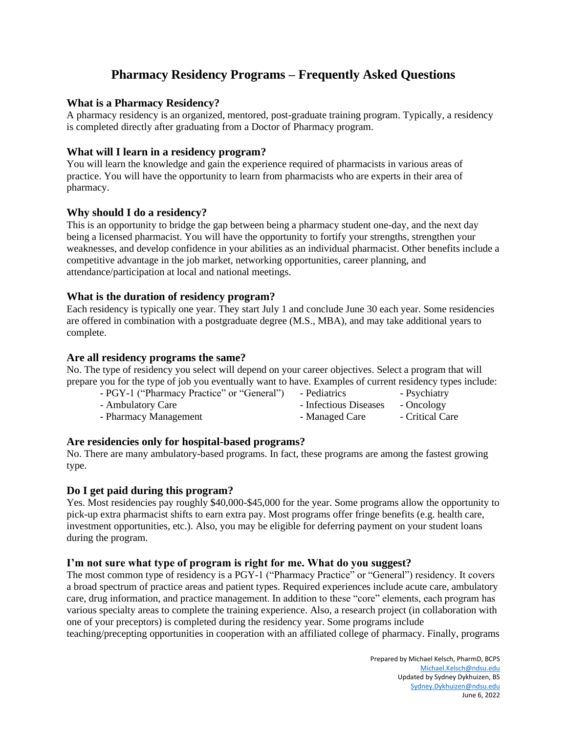# **Pharmacy Residency Programs – Frequently Asked Questions**

## **What is a Pharmacy Residency?**

A pharmacy residency is an organized, mentored, post-graduate training program. Typically, a residency is completed directly after graduating from a Doctor of Pharmacy program.

## **What will I learn in a residency program?**

You will learn the knowledge and gain the experience required of pharmacists in various areas of practice. You will have the opportunity to learn from pharmacists who are experts in their area of pharmacy.

## **Why should I do a residency?**

This is an opportunity to bridge the gap between being a pharmacy student one-day, and the next day being a licensed pharmacist. You will have the opportunity to fortify your strengths, strengthen your weaknesses, and develop confidence in your abilities as an individual pharmacist. Other benefits include a competitive advantage in the job market, networking opportunities, career planning, and attendance/participation at local and national meetings.

## **What is the duration of residency program?**

Each residency is typically one year. They start July 1 and conclude June 30 each year. Some residencies are offered in combination with a postgraduate degree (M.S., MBA), and may take additional years to complete.

## **Are all residency programs the same?**

No. The type of residency you select will depend on your career objectives. Select a program that will prepare you for the type of job you eventually want to have. Examples of current residency types include:

- PGY-1 ("Pharmacy Practice" or "General") - Pediatrics - Psychiatry - Ambulatory Care  $\qquad \qquad$  - Infectious Diseases - Oncology - Pharmacy Management - Managed Care - Critical Care

# **Are residencies only for hospital-based programs?**

No. There are many ambulatory-based programs. In fact, these programs are among the fastest growing type.

## **Do I get paid during this program?**

Yes. Most residencies pay roughly \$40,000-\$45,000 for the year. Some programs allow the opportunity to pick-up extra pharmacist shifts to earn extra pay. Most programs offer fringe benefits (e.g. health care, investment opportunities, etc.). Also, you may be eligible for deferring payment on your student loans during the program.

## **I'm not sure what type of program is right for me. What do you suggest?**

The most common type of residency is a PGY-1 ("Pharmacy Practice" or "General") residency. It covers a broad spectrum of practice areas and patient types. Required experiences include acute care, ambulatory care, drug information, and practice management. In addition to these "core" elements, each program has various specialty areas to complete the training experience. Also, a research project (in collaboration with one of your preceptors) is completed during the residency year. Some programs include teaching/precepting opportunities in cooperation with an affiliated college of pharmacy. Finally, programs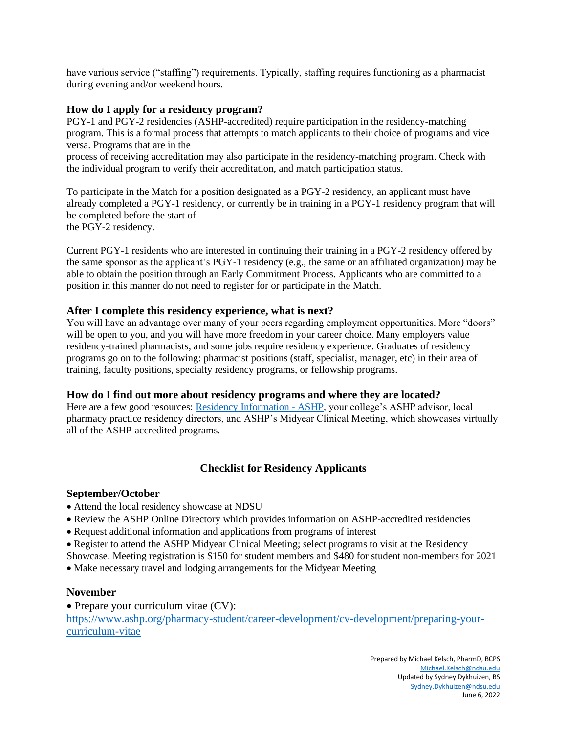have various service ("staffing") requirements. Typically, staffing requires functioning as a pharmacist during evening and/or weekend hours.

## **How do I apply for a residency program?**

PGY-1 and PGY-2 residencies (ASHP-accredited) require participation in the residency-matching program. This is a formal process that attempts to match applicants to their choice of programs and vice versa. Programs that are in the

process of receiving accreditation may also participate in the residency-matching program. Check with the individual program to verify their accreditation, and match participation status.

To participate in the Match for a position designated as a PGY-2 residency, an applicant must have already completed a PGY-1 residency, or currently be in training in a PGY-1 residency program that will be completed before the start of the PGY-2 residency.

Current PGY-1 residents who are interested in continuing their training in a PGY-2 residency offered by the same sponsor as the applicant's PGY-1 residency (e.g., the same or an affiliated organization) may be able to obtain the position through an Early Commitment Process. Applicants who are committed to a position in this manner do not need to register for or participate in the Match.

## **After I complete this residency experience, what is next?**

You will have an advantage over many of your peers regarding employment opportunities. More "doors" will be open to you, and you will have more freedom in your career choice. Many employers value residency-trained pharmacists, and some jobs require residency experience. Graduates of residency programs go on to the following: pharmacist positions (staff, specialist, manager, etc) in their area of training, faculty positions, specialty residency programs, or fellowship programs.

## **How do I find out more about residency programs and where they are located?**

Here are a few good resources: [Residency Information -](https://www.ashp.org/professional-development/residency-information) ASHP, your college's ASHP advisor, local pharmacy practice residency directors, and ASHP's Midyear Clinical Meeting, which showcases virtually all of the ASHP-accredited programs.

# **Checklist for Residency Applicants**

## **September/October**

- Attend the local residency showcase at NDSU
- Review the ASHP Online Directory which provides information on ASHP-accredited residencies
- Request additional information and applications from programs of interest
- Register to attend the ASHP Midyear Clinical Meeting; select programs to visit at the Residency

Showcase. Meeting registration is \$150 for student members and \$480 for student non-members for 2021

• Make necessary travel and lodging arrangements for the Midyear Meeting

## **November**

• Prepare your curriculum vitae (CV):

[https://www.ashp.org/pharmacy-student/career-development/cv-development/preparing-your](https://www.ashp.org/pharmacy-student/career-development/cv-development/preparing-your-curriculum-vitae)[curriculum-vitae](https://www.ashp.org/pharmacy-student/career-development/cv-development/preparing-your-curriculum-vitae)